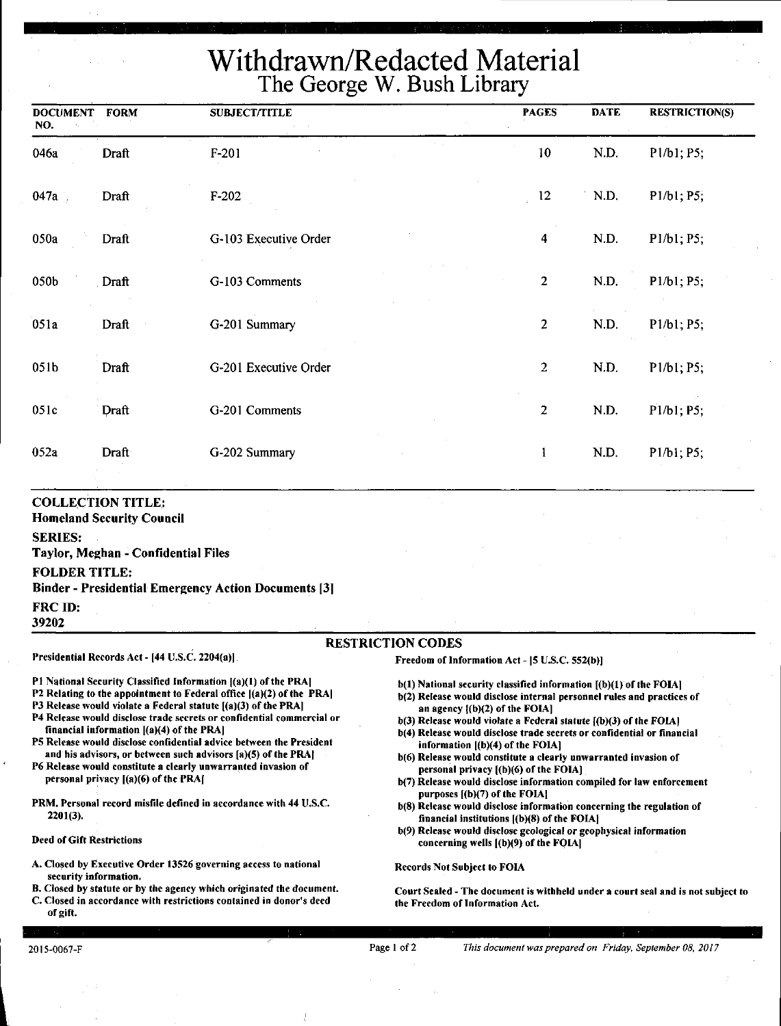# Withdrawn/Redacted Material The George W. Bush Library

| <b>DOCUMENT</b><br>NO. | <b>FORM</b>                                                  | <b>SUBJECT/TITLE</b>  | <b>PAGES</b>            | <b>DATE</b> | <b>RESTRICTION(S)</b> |
|------------------------|--------------------------------------------------------------|-----------------------|-------------------------|-------------|-----------------------|
| 046a                   | Draft                                                        | $F-201$               | 10                      | N.D.        | P1/b1; P5;            |
| 047a                   | Draft                                                        | $F-202$               | 12<br>J.                | N.D.        | P1/b1; P5;            |
| 050a                   | Draft                                                        | G-103 Executive Order | $\overline{\mathbf{4}}$ | N.D.        | P1/b1; P5;            |
| 050b                   | Draft                                                        | G-103 Comments        | $\overline{2}$          | N.D.        | P1/b1; P5;            |
| 051a                   | Draft                                                        | G-201 Summary         | $\overline{c}$          | N.D.        | P1/b1; P5;            |
| 051b                   | Draft                                                        | G-201 Executive Order | $\overline{2}$          | N.D.        | P1/b1; P5;            |
| 051c                   | Draft                                                        | G-201 Comments        | $\overline{2}$          | N.D.        | P1/b1; P5;            |
| 052a                   | <b>Draft</b>                                                 | G-202 Summary         | $\mathbf{1}$            | N.D.        | P1/b1; P5;            |
| <b>CEDIRC.</b>         | <b>COLLECTION TITLE:</b><br><b>Homeland Security Council</b> |                       |                         |             |                       |

**SERIES: Taylor, Meghan** - **Confidential Files FOLDER TITLE: Binder** - **Presidential Emergency Action Documents [3] FRCID: 39202** 

#### RESTRICTION CODES

Presidential Records Act - [44 U.S.C. 2204(a))

- Pl National Security Classified Information ((a)(l) of the PRAJ
- P2 Relating to the appointment to Federal office [(a)(2) of the PRA]
- P3 Release would violate a Federal statute  $[(a)(3)$  of the PRA]
- P4 Release would disclose trade secrets or confidential commercial or financial information ((a)(4) of the PRAJ
- PS Release would disclose confidential advice between the President and his advisors, or between such advisors [a)(S) of the PRAJ
- P6 Release would constitute a clearly unwarranted invasion of personal privacy [(a)(6) of the PRAJ
- PRM. Personal record misfile defined in accordance with 44 U.S.C. 2201(3).

Deed of Gift Restrictions

- A. Closed by Executive Order 13S26 governing access to national security information.
- B. Closed by statute or by the agency which originated the document. C. Closed in accordance with restrictions contained in donor's deed of gift.
- Freedom of Information Act (S U.S.C. SS2(b)]
- b(l) Nalional security classified information [(b)(l) of the FOIA)
- b(2) Release would disclose internal personnel rules and practices of an agency  $\{(b)(2)$  of the FOIA]
- b(3) Release would violate a Federal statute  $($ (b)(3) of the FOIA]
- b(4) Release would disclose trade secrets or confidential or financial information  $[(b)(4)$  of the FOIA]
- b(6) Release would constitute a clearly unwarranted invasion of personal privacy ((b)(6) of the FOIA]
- b(7) Release would disclose information compiled for law enforcement purposes ((b)(7) of the FOIA)
- b(8) Release would disclose information concerning the regulation of financial institutions ((b)(8) of the FOIAJ
- b(9) Release would disclose geological or geophysical information concerning wells [(b)(9) of the FOIA]

Records Not Subject to FOIA

Court Sealed -The document is withheld under a court seal and is not subject to the Freedom of Information Act.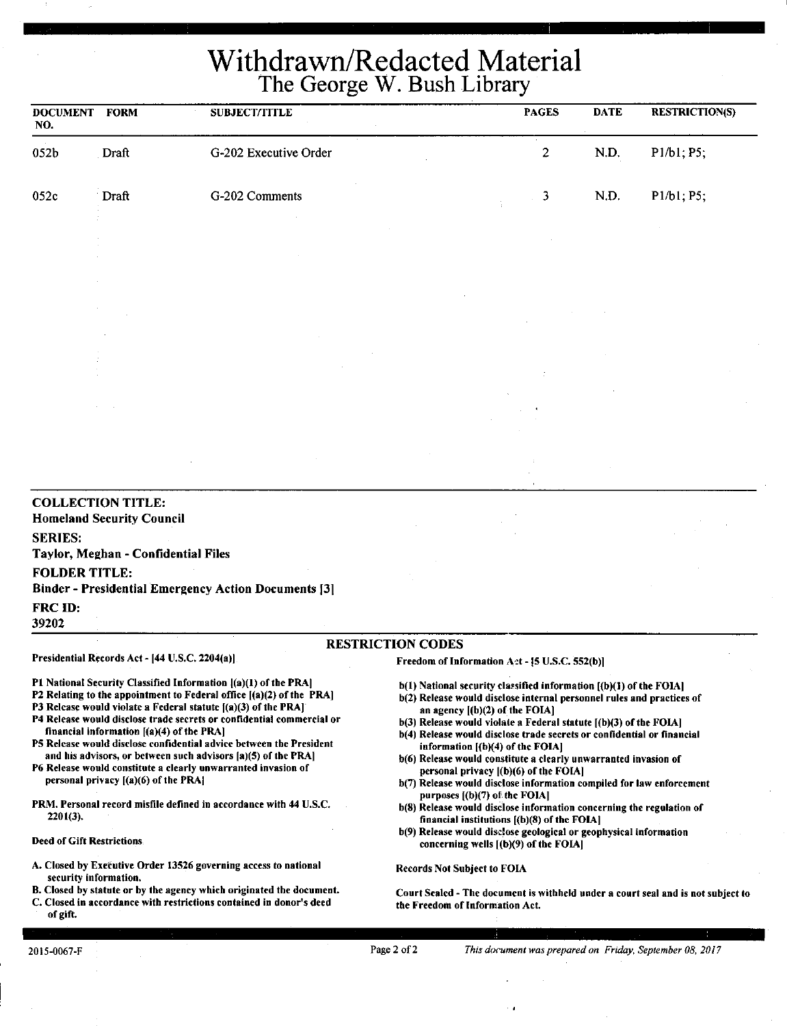# Withdrawn/Redacted Material  $The **G**o$

| DOCUMENT FORM<br>NO. |                                                              | <b>SUBJECT/TITLE</b>                                                                                                                                                                                                                                                                 |                          | <b>PAGES</b>                                                                                                                                                                                                                                         | <b>DATE</b> | <b>RESTRICTION(S)</b> |
|----------------------|--------------------------------------------------------------|--------------------------------------------------------------------------------------------------------------------------------------------------------------------------------------------------------------------------------------------------------------------------------------|--------------------------|------------------------------------------------------------------------------------------------------------------------------------------------------------------------------------------------------------------------------------------------------|-------------|-----------------------|
| 052b                 | Draft                                                        | G-202 Executive Order                                                                                                                                                                                                                                                                |                          | $\overline{c}$                                                                                                                                                                                                                                       | N.D.        | P1/b1; P5;            |
| 052c                 | Draft                                                        | G-202 Comments                                                                                                                                                                                                                                                                       |                          | 3                                                                                                                                                                                                                                                    | N.D.        | P1/b1; P5;            |
|                      |                                                              |                                                                                                                                                                                                                                                                                      |                          |                                                                                                                                                                                                                                                      |             |                       |
|                      |                                                              |                                                                                                                                                                                                                                                                                      |                          |                                                                                                                                                                                                                                                      |             |                       |
|                      |                                                              |                                                                                                                                                                                                                                                                                      |                          |                                                                                                                                                                                                                                                      |             |                       |
|                      |                                                              |                                                                                                                                                                                                                                                                                      |                          |                                                                                                                                                                                                                                                      |             |                       |
|                      |                                                              |                                                                                                                                                                                                                                                                                      |                          |                                                                                                                                                                                                                                                      |             |                       |
|                      |                                                              |                                                                                                                                                                                                                                                                                      |                          |                                                                                                                                                                                                                                                      |             |                       |
|                      |                                                              |                                                                                                                                                                                                                                                                                      |                          |                                                                                                                                                                                                                                                      |             |                       |
|                      |                                                              |                                                                                                                                                                                                                                                                                      |                          |                                                                                                                                                                                                                                                      |             |                       |
|                      |                                                              |                                                                                                                                                                                                                                                                                      |                          |                                                                                                                                                                                                                                                      |             |                       |
|                      |                                                              |                                                                                                                                                                                                                                                                                      |                          |                                                                                                                                                                                                                                                      |             |                       |
|                      | <b>COLLECTION TITLE:</b><br><b>Homeland Security Council</b> |                                                                                                                                                                                                                                                                                      |                          |                                                                                                                                                                                                                                                      |             |                       |
| <b>SERIES:</b>       |                                                              |                                                                                                                                                                                                                                                                                      |                          |                                                                                                                                                                                                                                                      |             |                       |
|                      | Taylor, Meghan - Confidential Files                          |                                                                                                                                                                                                                                                                                      |                          |                                                                                                                                                                                                                                                      |             |                       |
| <b>FOLDER TITLE:</b> |                                                              | <b>Binder - Presidential Emergency Action Documents [3]</b>                                                                                                                                                                                                                          |                          |                                                                                                                                                                                                                                                      |             |                       |
| FRC ID:<br>39202     |                                                              |                                                                                                                                                                                                                                                                                      |                          |                                                                                                                                                                                                                                                      |             |                       |
|                      |                                                              |                                                                                                                                                                                                                                                                                      | <b>RESTRICTION CODES</b> |                                                                                                                                                                                                                                                      |             |                       |
|                      | Presidential Records Act - [44 U.S.C. 2204(a)]               |                                                                                                                                                                                                                                                                                      |                          | Freedom of Information Act - {5 U.S.C. 552(b)]                                                                                                                                                                                                       |             |                       |
|                      |                                                              | P1 National Security Classified Information ((a)(1) of the PRA]<br>P2 Relating to the appointment to Federal office [(a)(2) of the PRA]<br>P3 Release would violate a Federal statute $[(a)(3)$ of the PRA]<br>P4 Release would disclose trade secrets or confidential commercial or |                          | b(1) National security classified information [(b)(1) of the FOIA]<br>b(2) Release would disclose internal personnel rules and practices of<br>an agency $[(b)(2)$ of the FOIA]<br>b(3) Release would violate a Federal statute ((b)(3) of the FOIA1 |             |                       |

- financial information [(a)(4) of the PRA] PS Release would disclose confidential advice between the President
- and his advisors, or between such advisors (a)(S) of the PRA) P6 Release would constitute a clearly unwarranted invasion of personal privacy  $[(a)(6)$  of the PRA
- PRM. Personal record misfile defined in accordance with 44 U.S.C.

#### Deed of Gift Restrictions

2201(3).

- A. Closed by Executive Order 13526 governing access to national security information.
- B. Closed by statute or by the agency which originated the document. C. Closed in accordance with restrictions contained in donor's deed
- $b(3)$  Release would violate a Federal statute  $[(b)(3)$  of the FOIA]
- b(4) Release would disclose trade secrets or confidential or financial information ((b)(4) of the FOIAJ
- b(6) Release would constitute a clearly unwarranted invasion of personal privacy ((b)(6) of the FOIAJ
- b(7) Release would disclose information compiled for law enforcement purposes [(b)(7) of the FOIA]
- b(8) Release would disclose information concerning the regulation of financial institutions ((b)(8) of the FOIA)
- b(9) Release would disclose geological or geophysical information concerning wells ((b)(9) of the FOIAJ

#### Records Not Subject to FOIA

Court Sealed - The document is withheld under a court seal and is not subject to the Freedom of Information Act.

of gift.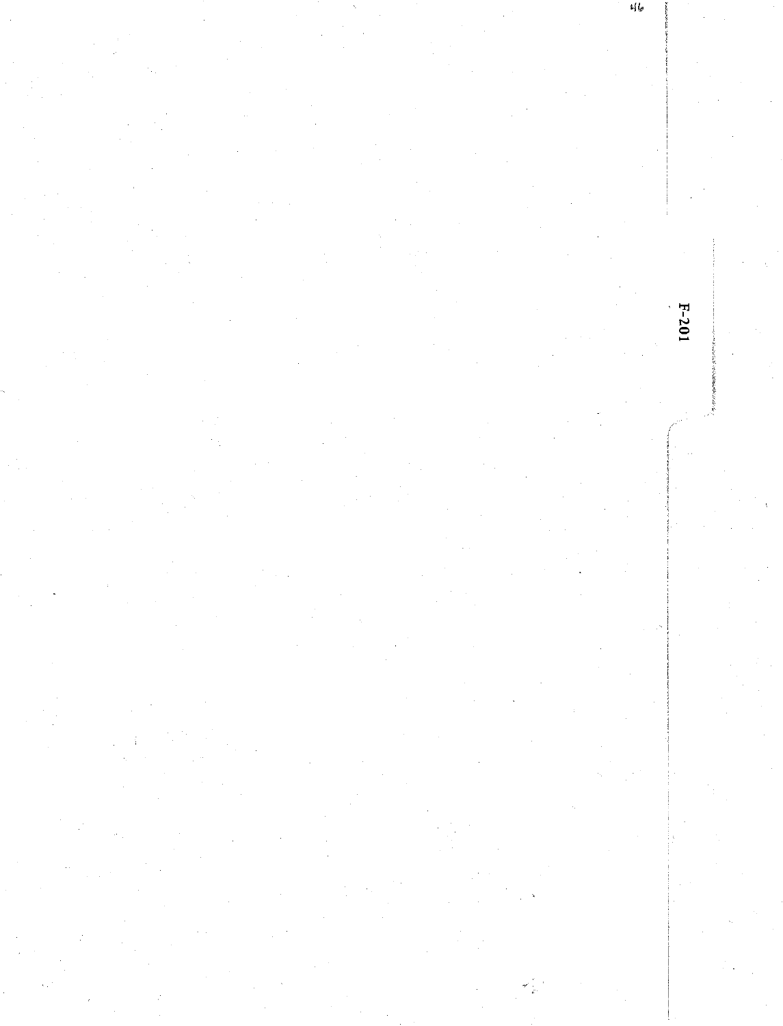$\mathfrak{u}[\mathfrak{l}_\beta]$ 

 $F-201$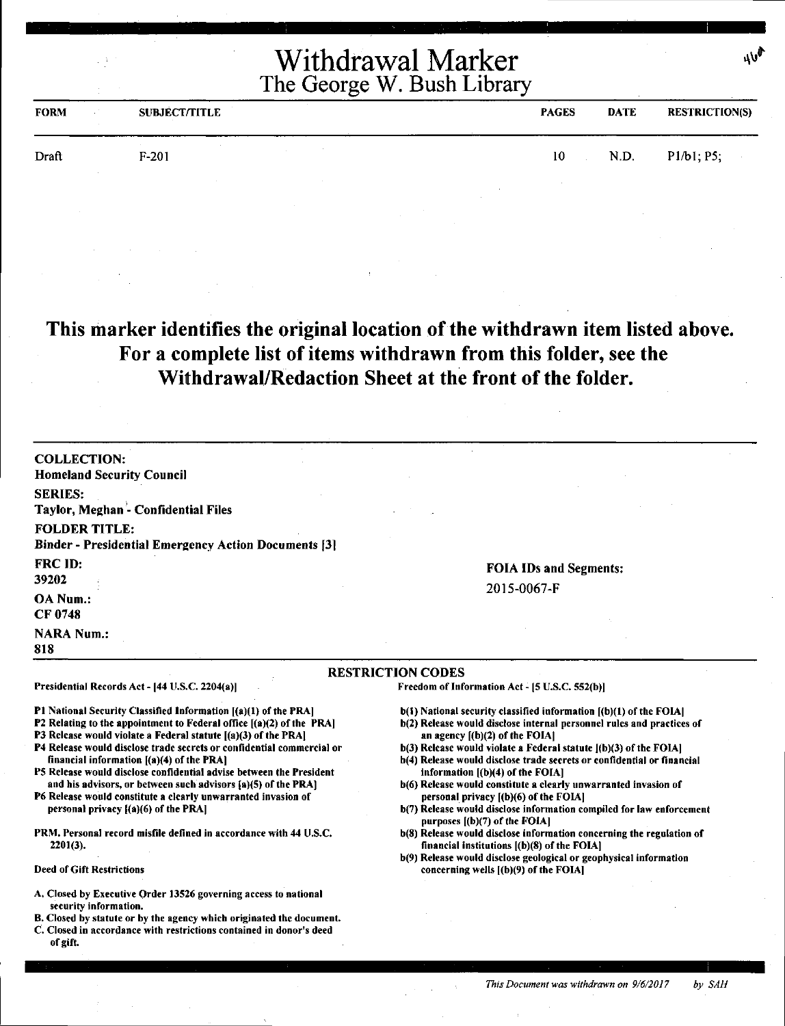| <b>FORM</b> | <b>SUBJECT/TITLE</b> | <b>PAGES</b> | <b>DATE</b> | <b>RESTRICTION(S)</b> |
|-------------|----------------------|--------------|-------------|-----------------------|
| Draft       | $F-201$              | 10           | N.D.        | P1/b1; P5;            |

**This marker identifies the original location of the withdrawn item listed above. For a complete list of items withdrawn from this folder, see the Withdrawal/Redaction Sheet at the front of the folder.** 

COLLECTION: Homeland Security Council SERIES: Taylor, Meghan - Confidential Files FOLDER TITLE: Binder - Presidential Emergency Action Documents f3] FRC ID: 39202 OA Num.: CF 0748 NARANum.: 818 FOIA IDs and Segments: 2015-0067-F RESTRICTION CODES Presidential Records Act - [44 U.S.C. 2204(a)] Pl National Security Classified Information ((a)(l) of the PRA) P2 Relating to the appointment to Federal office [(a)(2) of the PRA) P3 Release would violate a Federal statute ((a)(3) of the PRAI P4 Release would disclose trade secrets or confidential commercial or financial information ((a)(4) of the PRA) PS Release would disclose confidential advise between the President and his advisors, or between such advisors (a)(S) of the PRA) P6 Release would constitute a clearly unwarranted invasion of personal privacy ((a)(6) of the PRAJ PRM. Personal record misfile defined in accordance with 44 U.S.C. 2201(3). Freedom of Information Act - (5 U.S.C. 552(b)) b(I) National security classified information ((b)(l) of the FOIAJ b(2) Release would disclose internal personnel rules and practices of an agency [(b)(2) of the FOIAI  $b(3)$  Release would violate a Federal statute  $[(b)(3)$  of the FOIA] b(4) Release would disclose trade secrets or confidential or financial information [(b)(4) of the FOIA] b(6) Release would constitute a clearly unwarranted invasion of personal privacy [(b)(6) of the FOIAI b(7) Release would disclose information compiled for law enforcemen¢ purposes [(b)(7) of the FOIAI b(S) Release would disclose information concerning the regulation of financial institutions ((b)(8) of the FOIA) b(9) Release would disclose geological or geophysical information

Deed of Gift Restrictions

- A. Closed by Executive Order 13526 governing access to national security information,
- B. Closed by statute or by the agency which originated the document.
- C. Closed in accordance with restrictions contained in donor's deed of gift.

concerning wells ((b)(9) of the FOIA)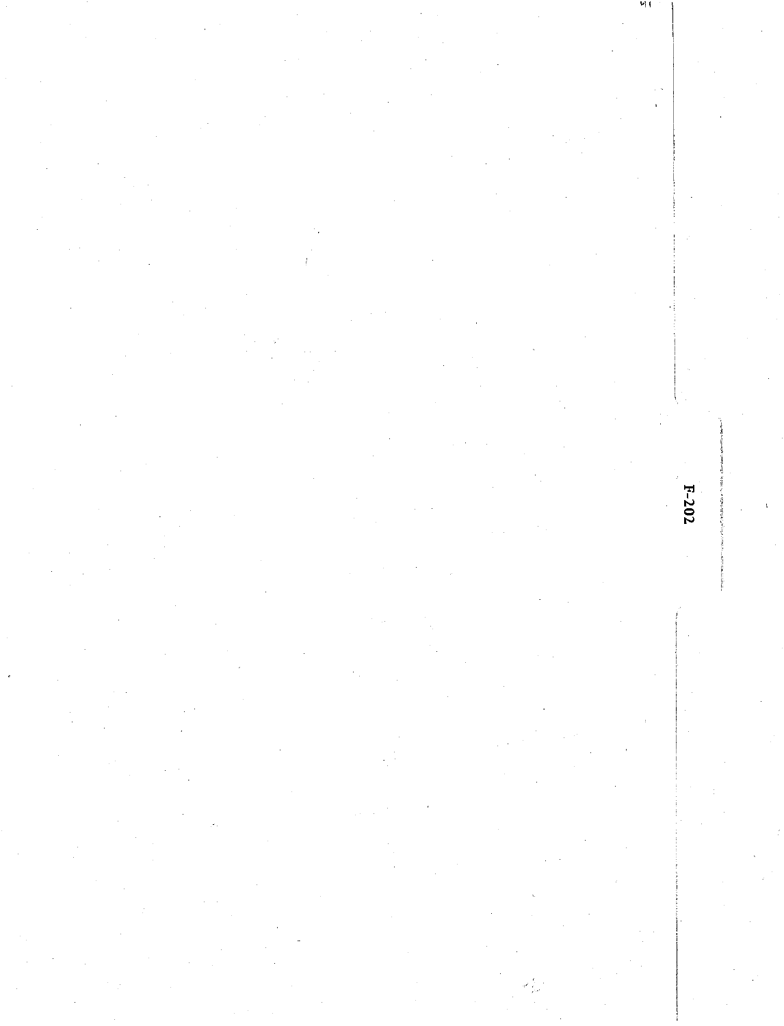-11  $F-202$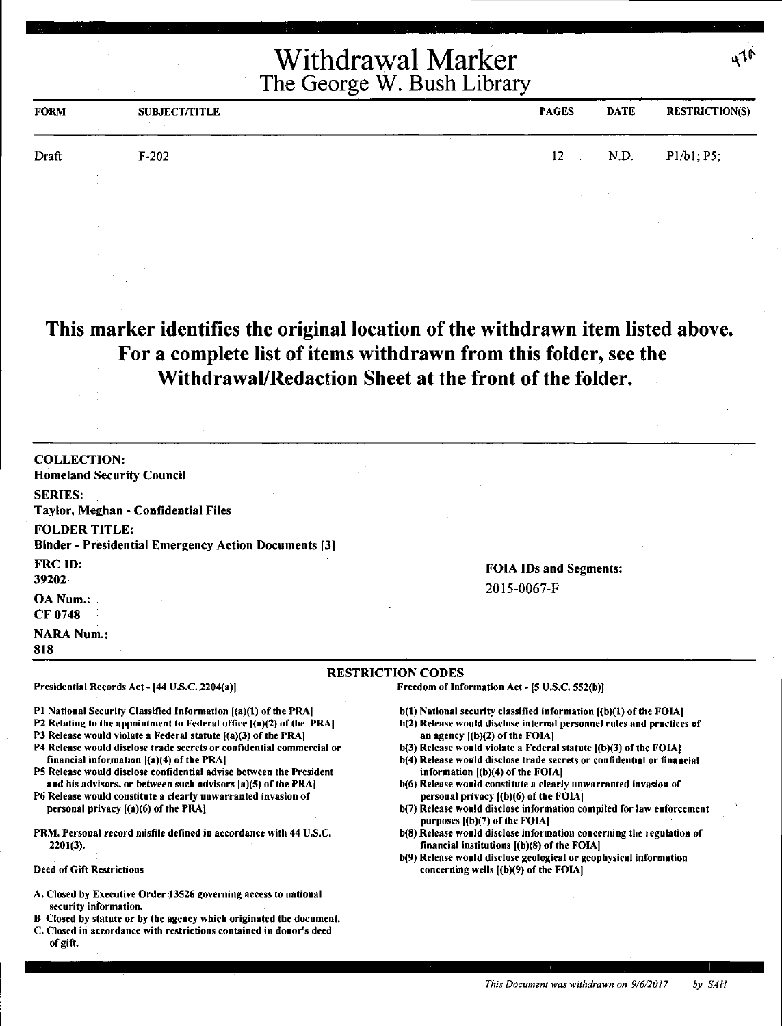| <b>FORM</b> | <b>SUBJECT/TITLE</b> | <b>PAGES</b> | <b>DATE</b> | <b>RESTRICTION(S)</b> |
|-------------|----------------------|--------------|-------------|-----------------------|
| Draft       | $F-202$              | 12           | N.D.        | P1/b1, P5;            |
|             |                      |              |             |                       |

**This marker identifies the original location of the withdrawn item listed above. For a complete list of items withdrawn from this folder, see the Withdrawal/Redaction Sheet at the front of the folder.** 

| <b>COLLECTION:</b><br><b>Homeland Security Council</b>                                                                                                                                                                                                                                                                                                                                                       |                                                                                                                                                                                                                                                                                                                                                                    |
|--------------------------------------------------------------------------------------------------------------------------------------------------------------------------------------------------------------------------------------------------------------------------------------------------------------------------------------------------------------------------------------------------------------|--------------------------------------------------------------------------------------------------------------------------------------------------------------------------------------------------------------------------------------------------------------------------------------------------------------------------------------------------------------------|
| <b>SERIES:</b><br>Taylor, Meghan - Confidential Files                                                                                                                                                                                                                                                                                                                                                        |                                                                                                                                                                                                                                                                                                                                                                    |
| <b>FOLDER TITLE:</b><br><b>Binder - Presidential Emergency Action Documents [3]</b>                                                                                                                                                                                                                                                                                                                          |                                                                                                                                                                                                                                                                                                                                                                    |
| FRC ID:<br>39202                                                                                                                                                                                                                                                                                                                                                                                             | <b>FOIA IDs and Segments:</b>                                                                                                                                                                                                                                                                                                                                      |
| <b>OA Num.:</b><br>CF 0748                                                                                                                                                                                                                                                                                                                                                                                   | 2015-0067-F                                                                                                                                                                                                                                                                                                                                                        |
| <b>NARA Num.:</b><br>818                                                                                                                                                                                                                                                                                                                                                                                     |                                                                                                                                                                                                                                                                                                                                                                    |
|                                                                                                                                                                                                                                                                                                                                                                                                              | <b>RESTRICTION CODES</b>                                                                                                                                                                                                                                                                                                                                           |
| Presidential Records Act - [44 U.S.C. 2204(a)]                                                                                                                                                                                                                                                                                                                                                               | Freedom of Information Act - 15 U.S.C. 552(b)]                                                                                                                                                                                                                                                                                                                     |
| <b>P1 National Security Classified Information [(a)(1) of the PRA]</b><br>P2 Relating to the appointment to Federal office [(a)(2) of the PRA]<br>P3 Release would violate a Federal statute $(2)(3)$ of the PRA<br>P4 Release would disclose trade secrets or confidential commercial or<br>financial information (a)(4) of the PRA]<br>P5 Release would disclose confidential advise between the President | b(1) National security classified information [(b)(1) of the FOIA]<br>b(2) Release would disclose internal personnel rules and practices of<br>an agency [(b)(2) of the FOIA]<br>b(3) Release would violate a Federal statute [(b)(3) of the FOIA]<br>b(4) Release would disclose trade secrets or confidential or financial<br>information $[(b)(4)$ of the FOIA] |
| and his advisors, or between such advisors [a](5) of the PRA]<br><u>D6 Delegre would constitute a clearly unwersented invesion of </u>                                                                                                                                                                                                                                                                       | b(6) Release would constitute a clearly unwarranted invasion of<br>personal privacy ((h)(6) of the EOIAI                                                                                                                                                                                                                                                           |

- P6 Release would constitute a clearly unwarranted invasion of personal privacy ((a)(6) of the PRAJ
- PRM. Personal record misfile defined in accordance with 44 U.S.C. 2201(3).

Deed of Gift Restrictions

- A. Closed by Executive Order 13526 governing access to national security information.
- B. Closed by statute or by the agency which originated the document.
- C. Closed in accordance with restrictions contained in donor's deed of gift.
- nal privacy [(b)(6) of the FOIA]
- b(7) Release would disclose information compiled for law enforcement purposes ((b)(7) of the FOIAI
- b(8) Release would disclose information concerning the regulation of financial institutions ((b)(8) of the FOIA)
- b(9) Release would disclose geological or geophysical information concerning wells ((b)(9) of the FOIA)

41A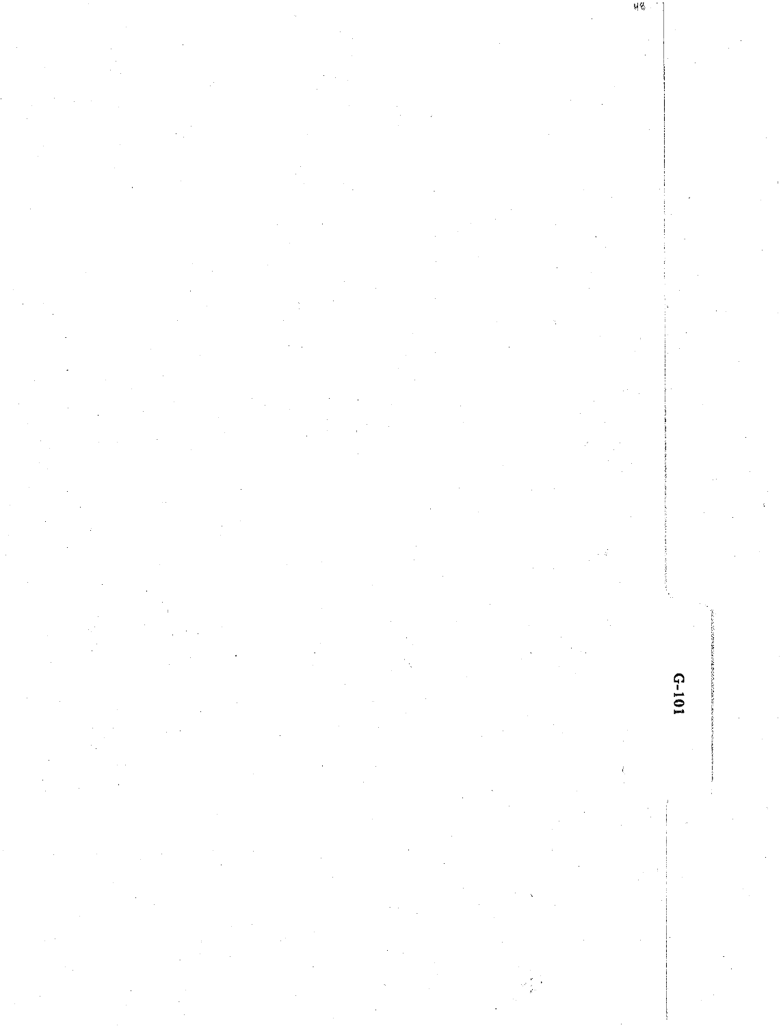ЧĶ  $G-101$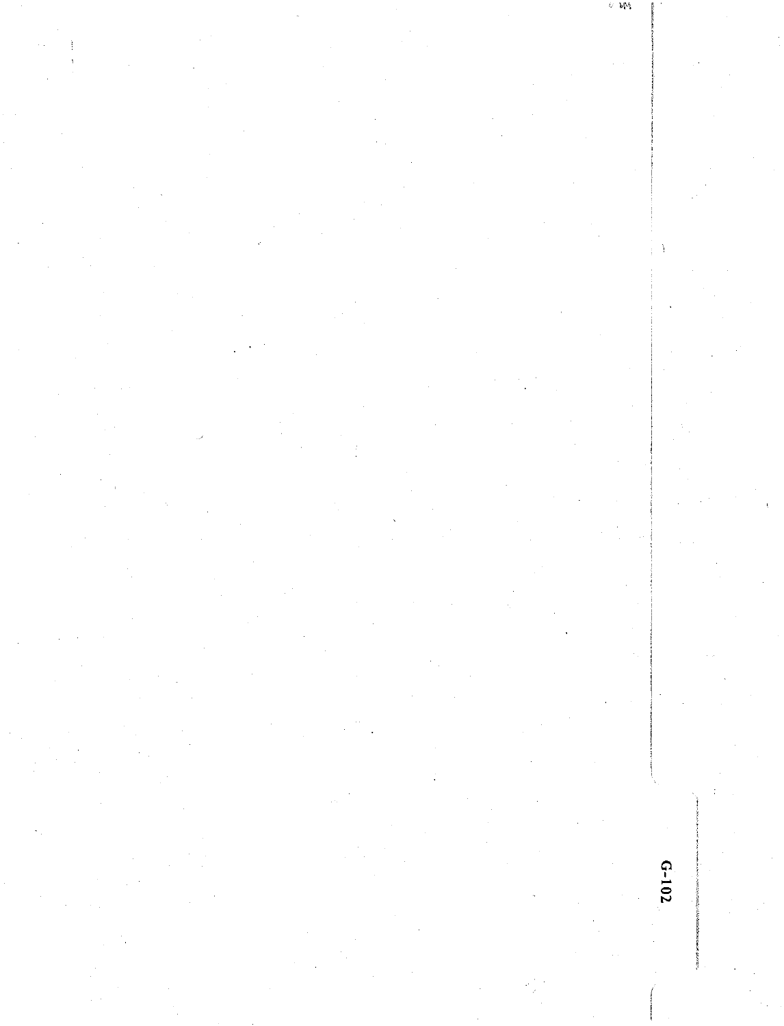$G-102$ 

 $\mathcal{V}^{\text{R}}_{\text{F}}$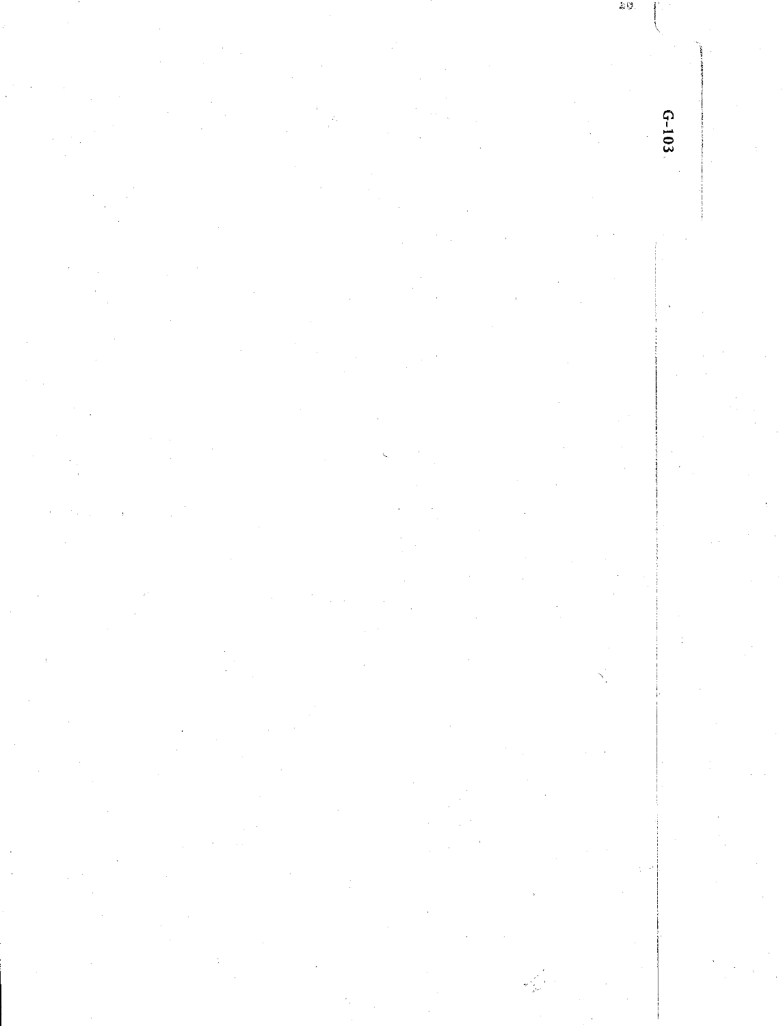$\gtrsim$   $\gtrsim$  $\frac{6-103}{1}$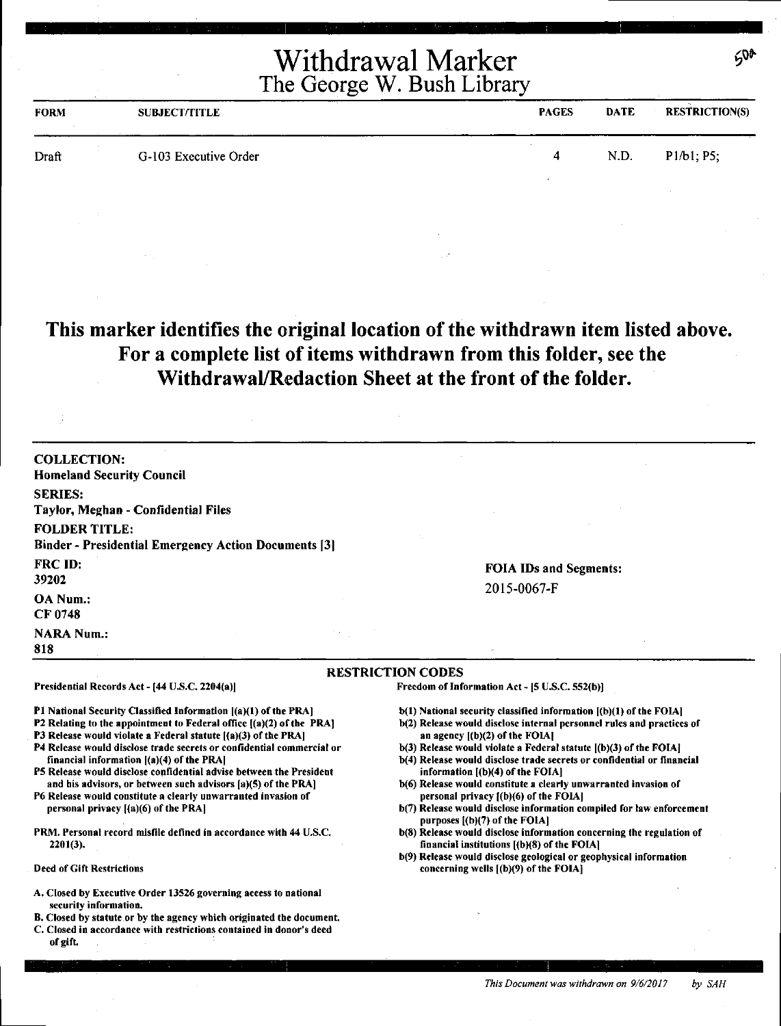| <b>FORM</b> | <b>SUBJECT/TITLE</b>  | <b>PAGES</b> | <b>DATE</b> | <b>RESTRICTION(S)</b> |
|-------------|-----------------------|--------------|-------------|-----------------------|
| Draft       | G-103 Executive Order | 4            | N.D.        | P1/b1; P5;            |
|             |                       |              |             |                       |

### **This marker identifies the original location of the withdrawn item listed above. For a complete list of items withdrawn from this folder, see the Withdrawal/Redaction Sheet at the front of the folder.**

**COLLECTION:**  Homeland Security Council **SERIES:**  Taylor, Meghan - Confidential Files **FOLDER TITLE:**  Binder - Presidential Emergency Action Documents [31 FRC ID: 39202 **OANum.:**  CF0748 **NARA Num.: 818 FOIA IDs** and Segments: 2015-0067-F **RESTRICTION CODES**  Presidential Records Act - (44 U.S.C. 2204(a)) P1 National Security Classified Information  $[(a)(1)$  of the PRA] P2 Relating to the appointment to Federal office  $[(a)(2)$  of the PRA] P3 Release would violate a Federal statute [(a)(3) of the PRA] P4 Release would disclose trade secrets or confidential commercial or financial information ((a)(4) of the PRA) PS Release would disclose confidential advise between the President and his advisors, or between such advisors (a)(S) of the PRA) P6 Release would constitute a clearly unwarranted invasion of personal privacy  $[(a)(6)$  of the PRA] Freedom of Information Act - (S U.S.C. 552(b)) b(l) National security classified information ((b)(l) of the FOIA) b(2) Release would disclose internal personnel rules and practices of an agency [(b)(2) of the FOIA] b(3) Release would violate a Federal statute  $[(b)(3)$  of the FOIA] b(4) Release would disclose trade secrets or confidential or financial information  $[(b)(4)$  of the FOIA] b(6) Release would constitute a clearly unwarranted invasion of personal privacy [(b)(6) of the FOIA) b(7) Release would disclose information compiled for law enforcement

PRM. Personal record misfile defined in accordance with 44 U.S.C. 2201(3).

Deed of Gift Restrictions

- A. Closed by Executive Order 13S26 governing access to national security information.
- B. Closed by statute or by the agency which originated the document.
- C. Closed in accordance with restrictions contained in donor's deed of gift.
- purposes l(b)(7) of the FOIA]
- b(8) Release would disclose information concerning the regulation of financial institutions  $[(b)(8)$  of the FOIA]
- b(9) Release would disclose geological or geophysical information concerning wells [(b)(9) of the FOIA]

600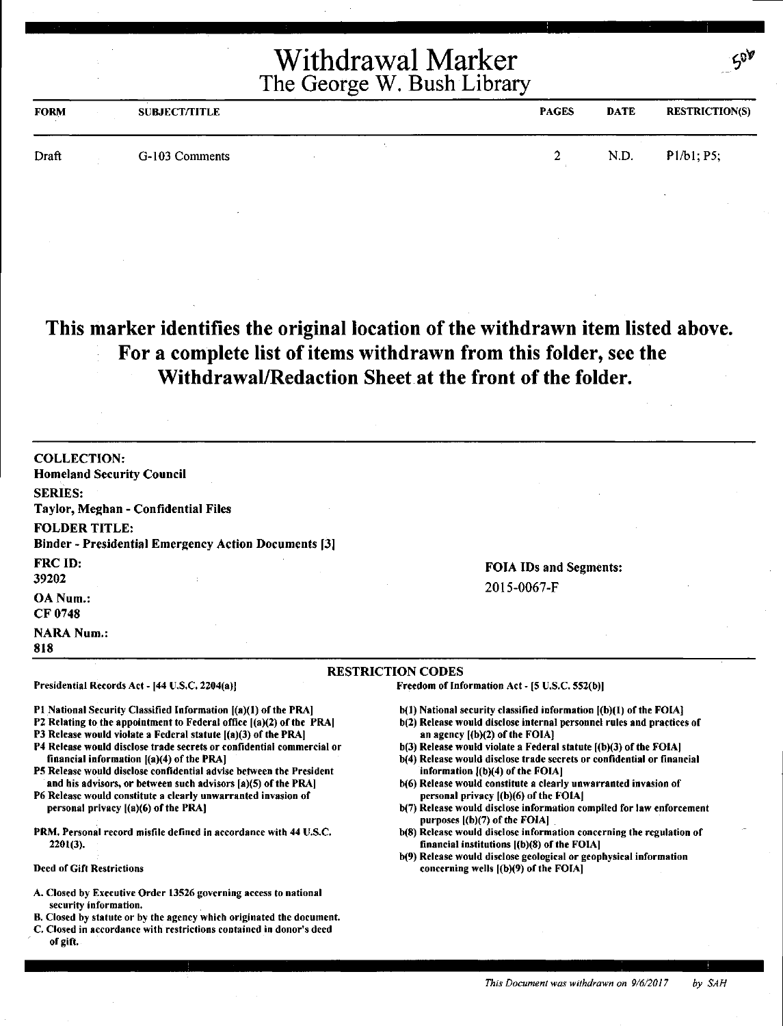| <b>FORM</b> | <b>SUBJECT/TITLE</b> | -- | <b>PAGES</b> | <b>DATE</b> | <b>RESTRICTION(S)</b> |
|-------------|----------------------|----|--------------|-------------|-----------------------|
| Draft       | G-103 Comments       |    | ∼            | N.D.        | P1/b1, P5;            |

### **This marker identifies the original location of the withdrawn item listed above. For a complete list of items withdrawn from this folder, see the Withdrawal/Redaction Sheet at the front of the folder.**

COLLECTION: Homeland Security Council SERIES: Taylor, Meghan - Confidential Files FOLDER TITLE: Binder - Presidential Emergency Action Documents [31 FRCID: 39202 OA Num.: CF 0748 **NARA Num.:** 818 FOIA IDs and Segments: 2015-0067-F RESTRICTION CODES Presidential Records Act - (44 U.S.C. 2204(a)I Freedom of Information Act - [5 U.S.C. 5S2(b)J

Pl National Security Classified Information ((a)(l) of the PRA)

- P2 Relating to the appointment to Federal office ((a)(2) of the PRAJ
- P3 Release would violate a Federal statute [(a)(3) of the PRA]
- P4 Release would disclose trade secrets or confidential commercial or financial information ((a)(4) of the PRAJ
- P5 Release would disclose confidential advise between the President and his advisors, or between such advisors [a)(S) of the PRA)
- P6 Release would constitute a clearly unwarranted invasion of personal privacy ((a)(6) of the PRA)
- PRM. Personal record misfile defined in accordance with 44 U.S.C. 2201(3).

Deed of Gift Restrictions

- A. Closed by Executive Order 13526 governing access to national security information.
- B. Closed by statute or by the agency which originated the document.
- C. Closed in accordance with restrictions contained in donor's deed of gift.

b(l) National security classified information ((b)(l) of the FOIA)

- b(2) Release would disclose internal personnel rules and practices of an agency [(b)(2) of the FOIAJ
- $b(3)$  Release would violate a Federal statute  $(6)(3)$  of the FOIA]
- b(4) Release would disclose trade secrets or confidential or financial information [(b)(4) of the FOIA)
- b(6) Release would constitute a clearly unwarranted invasion of personal privacy ((b)(6) of the FOIAJ
- b(7) Release would disclose information compiled for law enforcement purposes ((b)(7) of the FOIA]
- b(8) Release would disclose information concerning the regulation of financial institutions ((b)(8) of the FOIA)
- b(9) Release would disclose geological or geophysical information concerning wells ((b)(9) of the FOIA)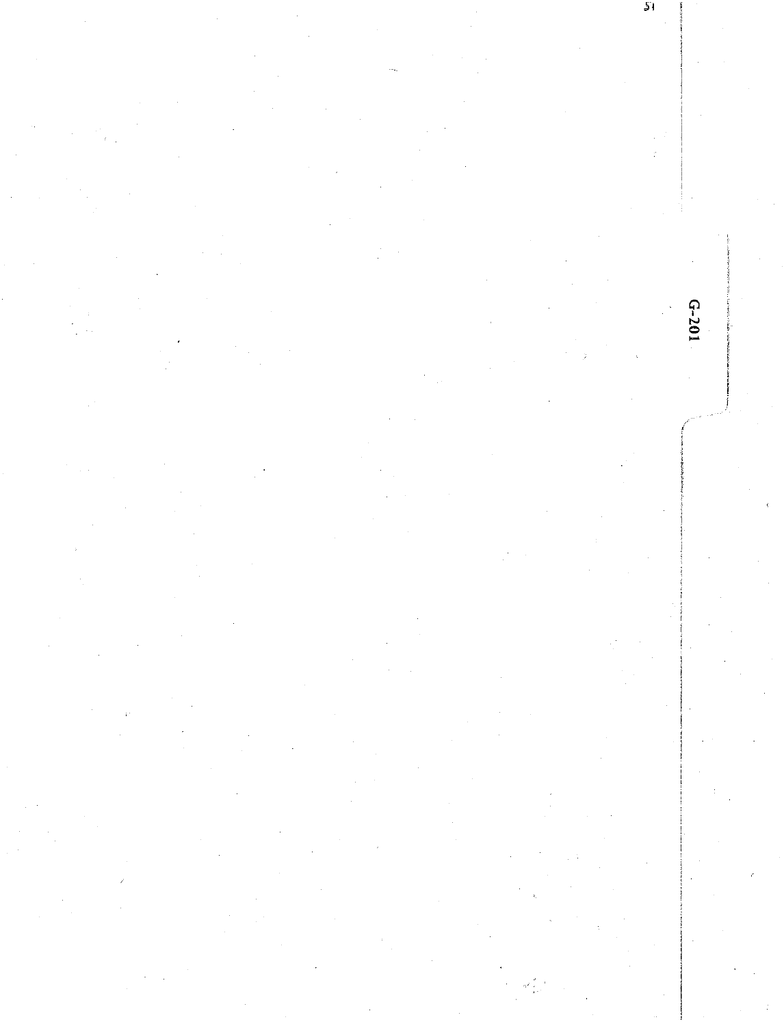$51$  $G-201$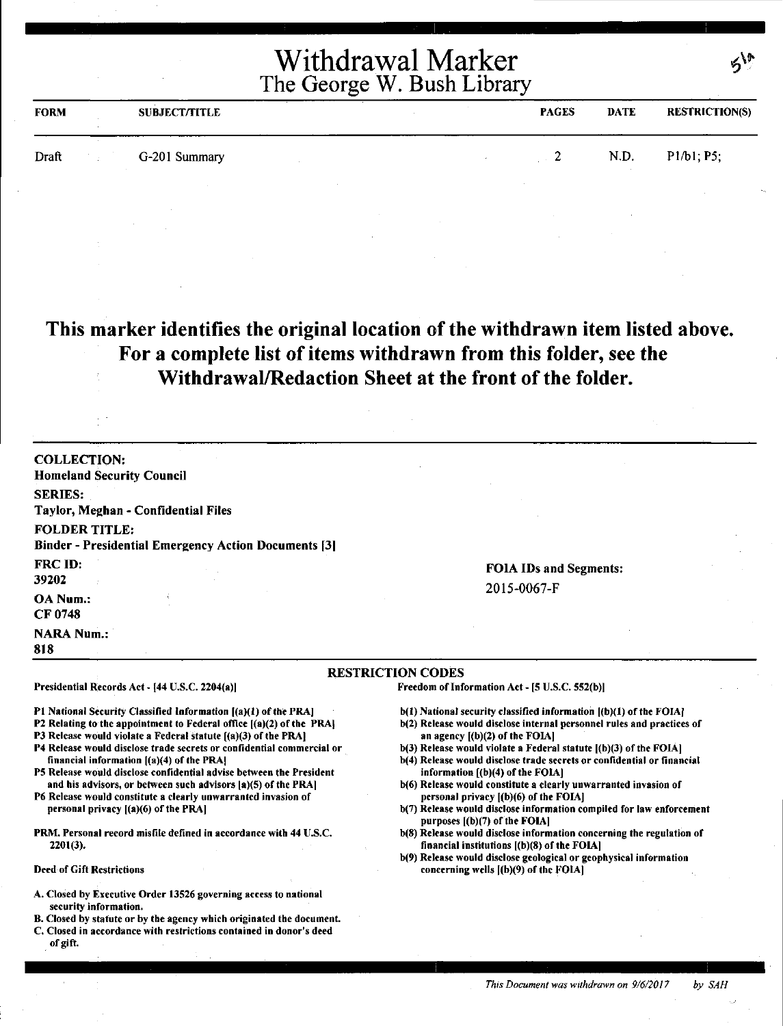|       | <b>Withdrawal Marker</b><br>The George W. Bush Library |  |              |             |                       |
|-------|--------------------------------------------------------|--|--------------|-------------|-----------------------|
| FORM  | <b>SUBJECT/TITLE</b>                                   |  | <b>PAGES</b> | <b>DATE</b> | <b>RESTRICTION(S)</b> |
| Draft | G-201 Summary                                          |  |              | N.D.        | P1/b1; P5;            |

#### **This marker identifies the original location of the withdrawn item listed above. For a complete list of items withdrawn from this folder, see the Withdrawal/Redaction Sheet at the front of the folder.**

COLLECTION: Homeland Security Council SERIES: Taylor, Meghan - Confidential Files FOLDER TITLE: Binder - Presidential Emergency Action Documents [31 FRCID: 39202 OANum.: CF0748 **NARA Num.:** 818 FOIA IDs and Segments: 2015-0067-F RESTRICTION CODES Presidential Records Act - [44 U.S.C. 2204(a)) Pl National Security Classified Information ((a)(l) of the PRAJ P2 Relating to the appointment to Federal office [(a)(2) of the PRA] P3 Release would violate a Federal statute [(a)(3) of the PRA] P4 Release would disclose trade secrets or confidential commercial or financial information ((a)(4) of the PRAI PS Release would disclose confidential advise between the President Freedom of Information Act - [5 U.S.C. 552(b)] b(l) National security classified information ((b)(l) of the FOIAJ b(2) Release would disclose internal personnel rules and practices of an agency  $[(b)(2)$  of the FOIA $]$ b(3) Release would violate a Federal statute [(b)(3) of the FOIA] b(4) Release would disclose trade secrets or confidential or financial information [(b)(4) of the FOlA)

and his advisors, or between such advisors (a)(S) of the PRAJ P6 Release would constitute a clearly unwarranted invasion of

personal privacy ((a)(6) of the PRA)

PRM. Personal record misfile defined in accordance with 44 U.S.C. 2201(3).

#### Deed of Gift Restrictions

- A. Closed by Executive Order 13S26 governing access to national security information.
- B. Closed by statute or by the agency which originated the document.
- C. Closed in accordance with restrictions contained in donor's deed of gift.
- 
- b(6) Release would constitute a clearly unwarranted invasion of personal privacy ((b)(6) of the FOIA]
- b(7) Release would disclose information compiled for law enforcement purposes ((b)(7) of the FOIA]
- b(S) Release would disclose information concerning the regulation of financial institutions ((b)(S) of the FOIA)
- b(9) Release would disclose geological or geophysical information concerning wells f(b)(9) of the FOlA)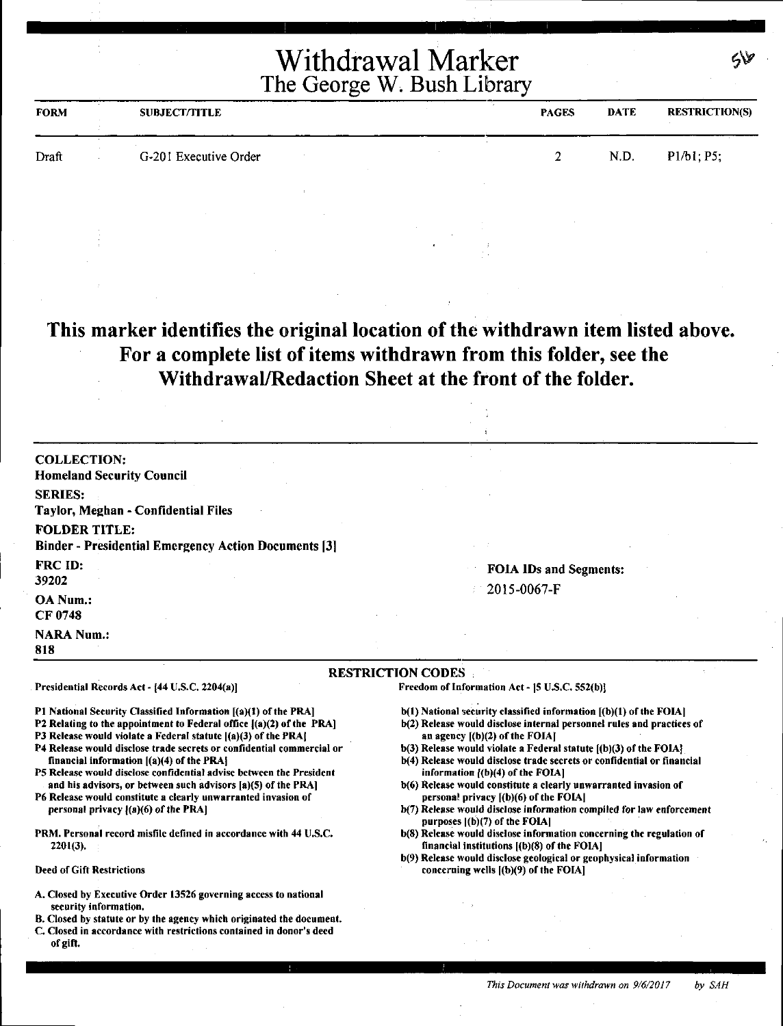| <b>FORM</b> | <b>SUBJECT/TITLE</b>  | <b>PAGES</b> | <b>DATE</b> | <b>RESTRICTION(S)</b> |
|-------------|-----------------------|--------------|-------------|-----------------------|
| Draft       | G-201 Executive Order |              | N.D.        | $P1/bi$ ; $P5$ ;      |

#### **This marker identifies the original location of the withdrawn item listed above. For a complete list of items withdrawn from this folder, see the Withdrawal/Redaction Sheet at the front of the folder.**

COLLECTION: Homeland Security Council SERIES: Taylor, Meghan - Confidential Files FOLDER TITLE: Binder - Presidential Emergency Action Documents [31 FRC ID: 39202 OA Num.: CF 0748 **NARA Num.:** 818 FOIA IDs and Segments: 2015-0067-F RESTRICTION CODES Presidential Records Act - [44 U.S.C. 2204(a)] Pt National Security Classified Information [(a)(l) of the PRA] P2 Relating to the appointment to Federal office  $[(a)(2)$  of the PRA] P3 Release would violate a Federal statute [(a)(3) of the PRA] P4 Release would disclose trade secrets or confidential commercial or financial information ((a)(4) of the PRAI PS Release would disclose confidential advise between the President and his advisors, or between such advisors (a)(S) of the PRA] P6 Release would constitute a clearly unwarranted invasion of personal privacy l(a)(6) of the PRA) PRM. Personal record misfile defined in accordance with 44 U.S.C. Freedom of Information Act - JS U.S.C. 552(b)J  $b(1)$  National security classified information  $[(b)(1)$  of the FOIA) b(2) Release would disclose internal personnel rules and practices of an agency [(b)(2) of the FOJA[ b(3) Release would violate a Federal statute ((b)(3) of the FOIAJ b(4) Release would disclose trade secrets or confidential or financial information f(b)(4) of the FOIAJ b(6) Release would constitute a clearly unwarranted invasion of persona! privacy [(b)(6) of the FOIAJ b(7) Release would disclose information compiled for law enforcement purposes  $[(b)(7)$  of the FOIA]

2201(3).

of gift.

Deed of Gift Restrictions

security information.

A. Closed by Executive Order 13526 governing access to national

8. Closed by statute or by the agency which originated the document. C. Closed in accordance with restrictions contained in donor's deed

- b(S) Release would disclose information concerning the regulation of financial institutions ((b)(8) of the FOIA]
	- b(9) Release would disclose geological or geophysical information concerning wells [(b)(9) of the FOIA]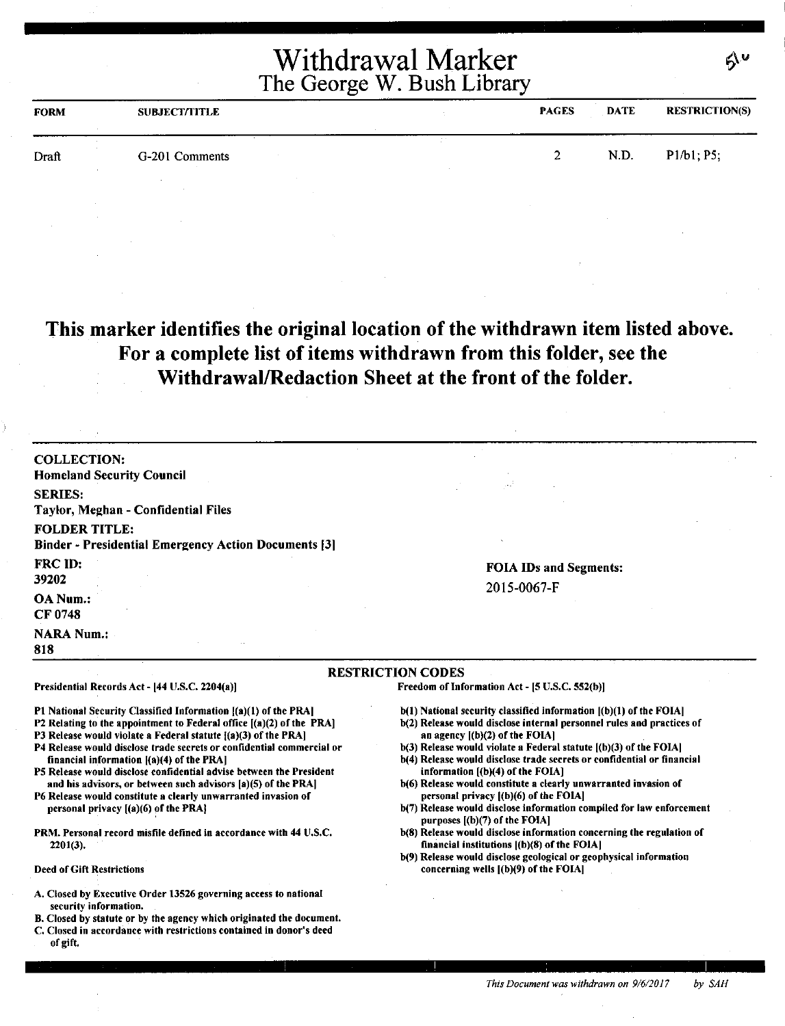| <b>Withdrawal Marker</b><br>The George W. Bush Library |                      |  |              |             |                       |  |  |
|--------------------------------------------------------|----------------------|--|--------------|-------------|-----------------------|--|--|
| <b>FORM</b>                                            | <b>SUBJECT/TITLE</b> |  | <b>PAGES</b> | <b>DATE</b> | <b>RESTRICTION(S)</b> |  |  |
| Draft                                                  | G-201 Comments       |  |              | N.D.        | P1/b1: P5:            |  |  |

## **This marker identifies the original location of the withdrawn item listed above. For a complete list of items withdrawn from this folder, see the Withdrawal/Redaction Sheet at the front of the folder.**

| <b>COLLECTION:</b><br><b>Homeland Security Council</b>                                                                                                                                                                                                                               |                                                                                                                                                                                                                                                              |
|--------------------------------------------------------------------------------------------------------------------------------------------------------------------------------------------------------------------------------------------------------------------------------------|--------------------------------------------------------------------------------------------------------------------------------------------------------------------------------------------------------------------------------------------------------------|
| <b>SERIES:</b>                                                                                                                                                                                                                                                                       |                                                                                                                                                                                                                                                              |
| Taylor, Meghan - Confidential Files                                                                                                                                                                                                                                                  |                                                                                                                                                                                                                                                              |
| <b>FOLDER TITLE:</b><br><b>Binder - Presidential Emergency Action Documents [3]</b>                                                                                                                                                                                                  |                                                                                                                                                                                                                                                              |
| <b>FRC ID:</b>                                                                                                                                                                                                                                                                       | <b>FOIA IDs and Segments:</b>                                                                                                                                                                                                                                |
| 39202                                                                                                                                                                                                                                                                                | 2015-0067-F                                                                                                                                                                                                                                                  |
| <b>OA Num.:</b><br>CF 0748                                                                                                                                                                                                                                                           |                                                                                                                                                                                                                                                              |
| <b>NARA Num.:</b><br>818                                                                                                                                                                                                                                                             |                                                                                                                                                                                                                                                              |
|                                                                                                                                                                                                                                                                                      | <b>RESTRICTION CODES</b>                                                                                                                                                                                                                                     |
| Presidential Records Act - [44 U.S.C. 2204(a)]                                                                                                                                                                                                                                       | Freedom of Information Act - [5 U.S.C. 552(b)]                                                                                                                                                                                                               |
| P1 National Security Classified Information [(a)(1) of the PRA]<br>P2 Relating to the appointment to Federal office $[(a)(2)$ of the PRA]<br>P3 Release would violate a Federal statute ((a)(3) of the PRA]<br>P4 Release would disclose trade secrets or confidential commercial or | $b(1)$ National security classified information $[(b)(1)$ of the FOIA]<br>b(2) Release would disclose internal personnel rules and practices of<br>an agency $[(b)(2)$ of the FOIA]<br>$b(3)$ Release would violate a Federal statute $[(b)(3)$ of the FOIA] |
| financial information [(a)(4) of the PRA]                                                                                                                                                                                                                                            | b(4) Release would disclose trade secrets or confidential or financial                                                                                                                                                                                       |
| P5 Release would disclose confidential advise between the President                                                                                                                                                                                                                  | information $[(b)(4)$ of the FOIA]                                                                                                                                                                                                                           |
| and his advisors, or between such advisors [a](5) of the PRA]<br>P6 Release would constitute a clearly unwarranted invasion of                                                                                                                                                       | b(6) Release would constitute a clearly unwarranted invasion of<br>personal privacy ((b)(6) of the FOIA]                                                                                                                                                     |
| personal privacy $[(a)(6)$ of the PRA $]$                                                                                                                                                                                                                                            | b(7) Release would disclose information compiled for law enforcement<br>purposes [(b)(7) of the FOIA]                                                                                                                                                        |
| PRM. Personal record misfile defined in accordance with 44 U.S.C.                                                                                                                                                                                                                    | b(8) Release would disclose information concerning the regulation of                                                                                                                                                                                         |

- b(8) Release would disclose information concerning the regulation of financial institutions ((b)(8) of the FOIAJ
	- b(9) Release would disclose geological or geophysical information concerning wells ((b)(9) of the FOIAI
- A. Closed by Executive Order 13526 governing access to national security information.

2201(3).

Deed of Gift Restrictions

- B. Closed by statute or by the agency which originated the document.
- C. Closed in accordance with restrictions contained in donor's deed of gift.

*This Document was withdrawn on 9/612017 by SAH*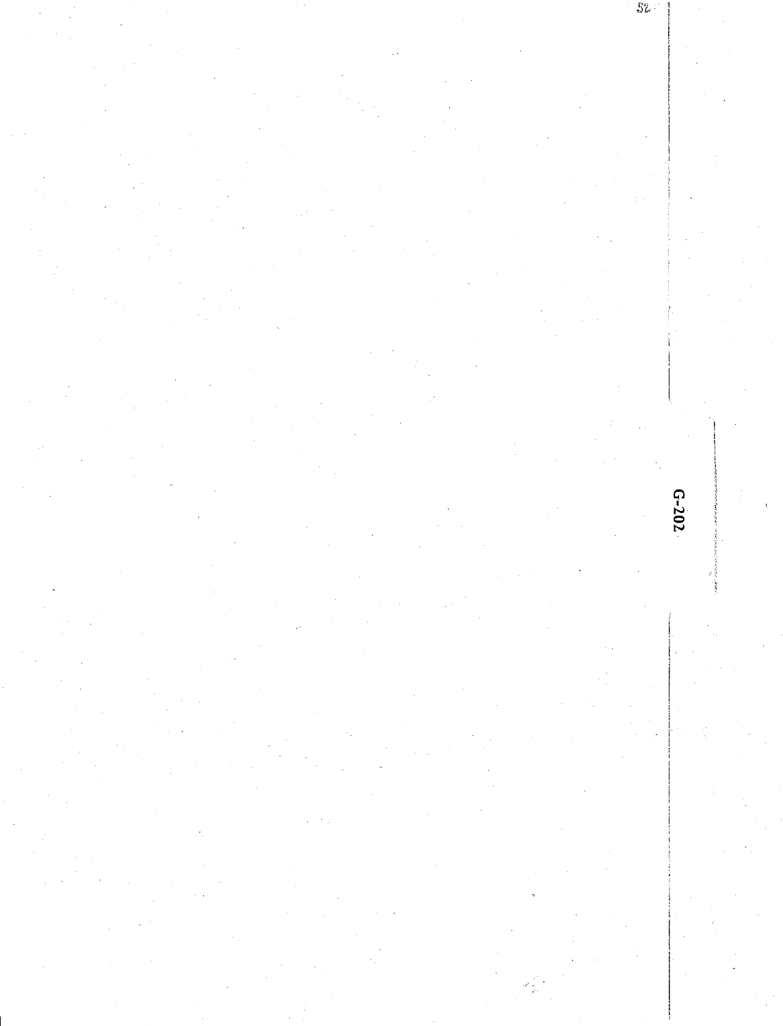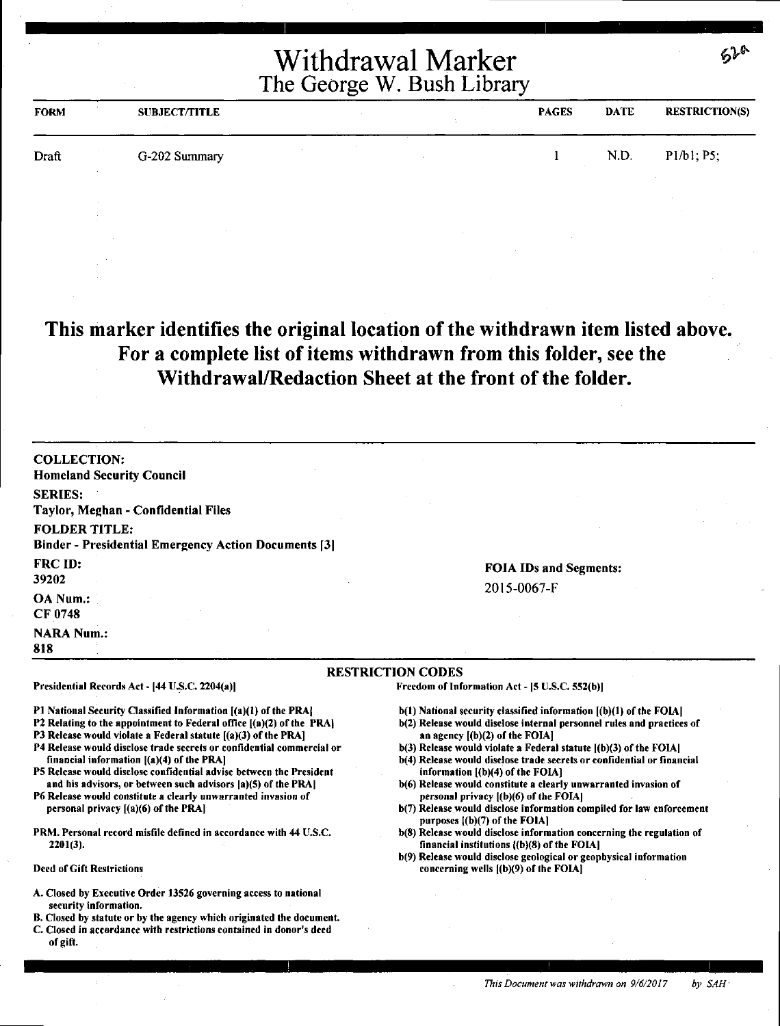| <b>FORM</b> | <b>SUBJECT/TITLE</b> | <b>PAGES</b> | <b>DATE</b> | <b>RESTRICTION(S)</b> |
|-------------|----------------------|--------------|-------------|-----------------------|
| Draft       | G-202 Summary        |              | N.D.        | P1/b1; P5;            |

#### **This marker identifies the original location of the withdrawn item listed above. For a complete list of items withdrawn from this folder, see the Withdrawal/Redaction Sheet at the front of the folder.**

COLLECTION: Homeland Security Council SERIES: Taylor, Meghan - Confidential Files FOLDER TITLE: Binder - Presidential Emergency Action Documents [3] FRC ID: 39202 OA Num.: CF 0748 **NARA Num.:** 818 FOIA IDs and Segments: 2015-0067-F RESTRICTION CODES Presidential Records Act - [44 U.S.C. 2204(a)] Pl National Security Classified Information ((a)(I) of the PRAJ P2 Relating to the appointment to Federal office ((a)(2) of the PRAI P3 Release would violate a Federal statute [(a)(3) of the PRA] P4 Release would disclose trade secrets or confidential commercial or financial information ((a)(4) of the PRAJ PS Release would disclose confidential advise between the President and his advisors, or between such advisors (a)(S) of the PRA) P6 Release would constitute a clearly unwarranted invasion of personal privacy [(a)(6) of the PRA) PRM. Personal record misfile defined in accordance with 44 U.S.C. 2201(3). Freedom of Information Act - (5 U.S.C. S52(b)] b(1) National security classified information  $[(b)(1)$  of the FOIA b(2) Release would disclose internal personnel rules and practices of an agency  $[(b)(2)$  of the FOIA] b(3) Release would violate a Federal statute ((b)(3) of the FOIA) b(4) Release would disclose trade secrets or confidential or financial information  $[(b)(4)$  of the FOIA] b(6) Release would constitute a clearly unwarranted invasion of personal privacy ((b)(6) of the FOIA) b(7) Release would disclose information compiled for law enforcement purposes  $[(b)(7)$  of the FOIA] b(8) Release would disclose information concerning the regulation of financial institutions ((b)(S) of the FOIA)

Deed of Gift Restrictions

- A. Closed by Executive Order 13526 governing access to national security information.
- B. Closed by statute or by the agency which originated the document.
- C. Closed in accordance with restrictions contained in donor's deed of gift.
- b(9) Release would disclose geological or geophysical information concerning wells ((b)(9) of the FOIA)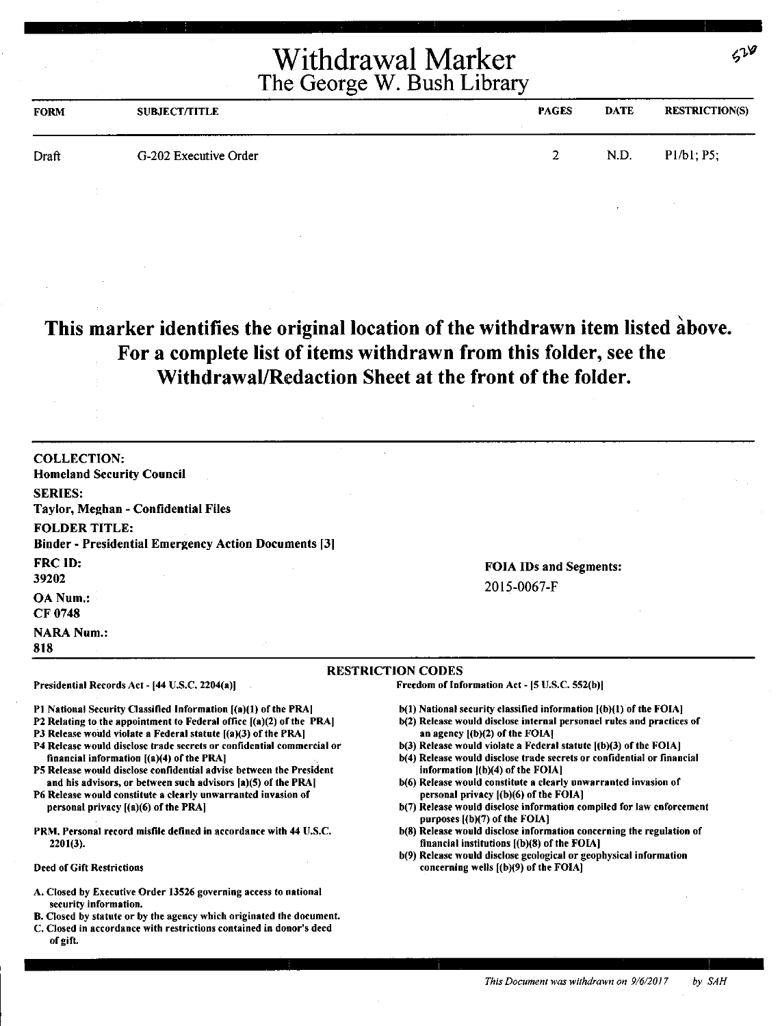| <b>FORM</b> | <b>SUBJECT/TITLE</b>  | <b>PAGES</b>   | <b>DATE</b> | <b>RESTRICTION(S)</b> |
|-------------|-----------------------|----------------|-------------|-----------------------|
| Draft       | G-202 Executive Order | $\overline{2}$ | N.D.        | P1/b1, P5;            |

# **This marker identifies the original location of the withdrawn item listed above. For a complete list of items withdrawn from this folder, see the Withdrawal/Redaction Sheet at the front of the folder.**

| <b>COLLECTION:</b><br><b>Homeland Security Council</b>                                                                                                                                                                                                                                                                                                                                                                                                                                                                                                                                                                                                                     |                                                                                                                                                                                                                                                                                                                                                                                                                                                                                                                                                                                                                                                                                                                                                                                                      |
|----------------------------------------------------------------------------------------------------------------------------------------------------------------------------------------------------------------------------------------------------------------------------------------------------------------------------------------------------------------------------------------------------------------------------------------------------------------------------------------------------------------------------------------------------------------------------------------------------------------------------------------------------------------------------|------------------------------------------------------------------------------------------------------------------------------------------------------------------------------------------------------------------------------------------------------------------------------------------------------------------------------------------------------------------------------------------------------------------------------------------------------------------------------------------------------------------------------------------------------------------------------------------------------------------------------------------------------------------------------------------------------------------------------------------------------------------------------------------------------|
| <b>SERIES:</b>                                                                                                                                                                                                                                                                                                                                                                                                                                                                                                                                                                                                                                                             |                                                                                                                                                                                                                                                                                                                                                                                                                                                                                                                                                                                                                                                                                                                                                                                                      |
| Taylor, Meghan - Confidential Files                                                                                                                                                                                                                                                                                                                                                                                                                                                                                                                                                                                                                                        |                                                                                                                                                                                                                                                                                                                                                                                                                                                                                                                                                                                                                                                                                                                                                                                                      |
| <b>FOLDER TITLE:</b>                                                                                                                                                                                                                                                                                                                                                                                                                                                                                                                                                                                                                                                       |                                                                                                                                                                                                                                                                                                                                                                                                                                                                                                                                                                                                                                                                                                                                                                                                      |
| <b>Binder - Presidential Emergency Action Documents [3]</b>                                                                                                                                                                                                                                                                                                                                                                                                                                                                                                                                                                                                                |                                                                                                                                                                                                                                                                                                                                                                                                                                                                                                                                                                                                                                                                                                                                                                                                      |
| <b>FRC ID:</b>                                                                                                                                                                                                                                                                                                                                                                                                                                                                                                                                                                                                                                                             |                                                                                                                                                                                                                                                                                                                                                                                                                                                                                                                                                                                                                                                                                                                                                                                                      |
| 39202                                                                                                                                                                                                                                                                                                                                                                                                                                                                                                                                                                                                                                                                      | <b>FOIA IDs and Segments:</b>                                                                                                                                                                                                                                                                                                                                                                                                                                                                                                                                                                                                                                                                                                                                                                        |
| <b>OA Num.:</b>                                                                                                                                                                                                                                                                                                                                                                                                                                                                                                                                                                                                                                                            | 2015-0067-F                                                                                                                                                                                                                                                                                                                                                                                                                                                                                                                                                                                                                                                                                                                                                                                          |
| <b>CF 0748</b>                                                                                                                                                                                                                                                                                                                                                                                                                                                                                                                                                                                                                                                             |                                                                                                                                                                                                                                                                                                                                                                                                                                                                                                                                                                                                                                                                                                                                                                                                      |
| <b>NARA Num.:</b><br>818                                                                                                                                                                                                                                                                                                                                                                                                                                                                                                                                                                                                                                                   |                                                                                                                                                                                                                                                                                                                                                                                                                                                                                                                                                                                                                                                                                                                                                                                                      |
|                                                                                                                                                                                                                                                                                                                                                                                                                                                                                                                                                                                                                                                                            | <b>RESTRICTION CODES</b>                                                                                                                                                                                                                                                                                                                                                                                                                                                                                                                                                                                                                                                                                                                                                                             |
| Presidential Records Act - [44 U.S.C. 2204(a)]                                                                                                                                                                                                                                                                                                                                                                                                                                                                                                                                                                                                                             | Freedom of Information Act - [5 U.S.C. 552(b)]                                                                                                                                                                                                                                                                                                                                                                                                                                                                                                                                                                                                                                                                                                                                                       |
| P1 National Security Classified Information [(a)(1) of the PRA]<br>P2 Relating to the appointment to Federal office $[(a)(2)$ of the PRA]<br>P3 Release would violate a Federal statute [(a)(3) of the PRA]<br>P4 Release would disclose trade secrets or confidential commercial or<br>financial information $[(a)(4)$ of the PRA]<br>P5 Release would disclose confidential advise between the President<br>and his advisors, or between such advisors [a)(5) of the PRA]<br>P6 Release would constitute a clearly unwarranted invasion of<br>personal privacy $[(a)(6)$ of the PRA]<br>PRM, Personal record misfile defined in accordance with 44 U.S.C.<br>$2201(3)$ . | $b(1)$ National security classified information $(a)(1)$ of the FOIA]<br>b(2) Release would disclose internal personnel rules and practices of<br>an agency $[(b)(2)$ of the FOIA}<br>b(3) Release would violate a Federal statute [(b)(3) of the FOIA]<br>b(4) Release would disclose trade secrets or confidential or financial<br>information $[(b)(4)$ of the FOIA]<br>b(6) Release would constitute a clearly unwarranted invasion of<br>personal privacy $($ (b $)($ 6) of the FOIA $]$<br>b(7) Release would disclose information compiled for law enforcement<br>purposes $[(b)(7)$ of the FOIA]<br>b(8) Release would disclose information concerning the regulation of<br>financial institutions [(b)(8) of the FOIA]<br>b(9) Release would disclose geological or geophysical information |
| <b>Deed of Gift Restrictions</b>                                                                                                                                                                                                                                                                                                                                                                                                                                                                                                                                                                                                                                           | concerning wells $($ (b) $(9)$ of the FOIA $]$                                                                                                                                                                                                                                                                                                                                                                                                                                                                                                                                                                                                                                                                                                                                                       |
| A. Closed by Executive Order 13526 governing access to national<br>security information.<br>B. Closed by statute or by the agency which originated the document.<br>C. Closed in accordance with restrictions contained in donor's deed<br>of gift.                                                                                                                                                                                                                                                                                                                                                                                                                        |                                                                                                                                                                                                                                                                                                                                                                                                                                                                                                                                                                                                                                                                                                                                                                                                      |

 $640$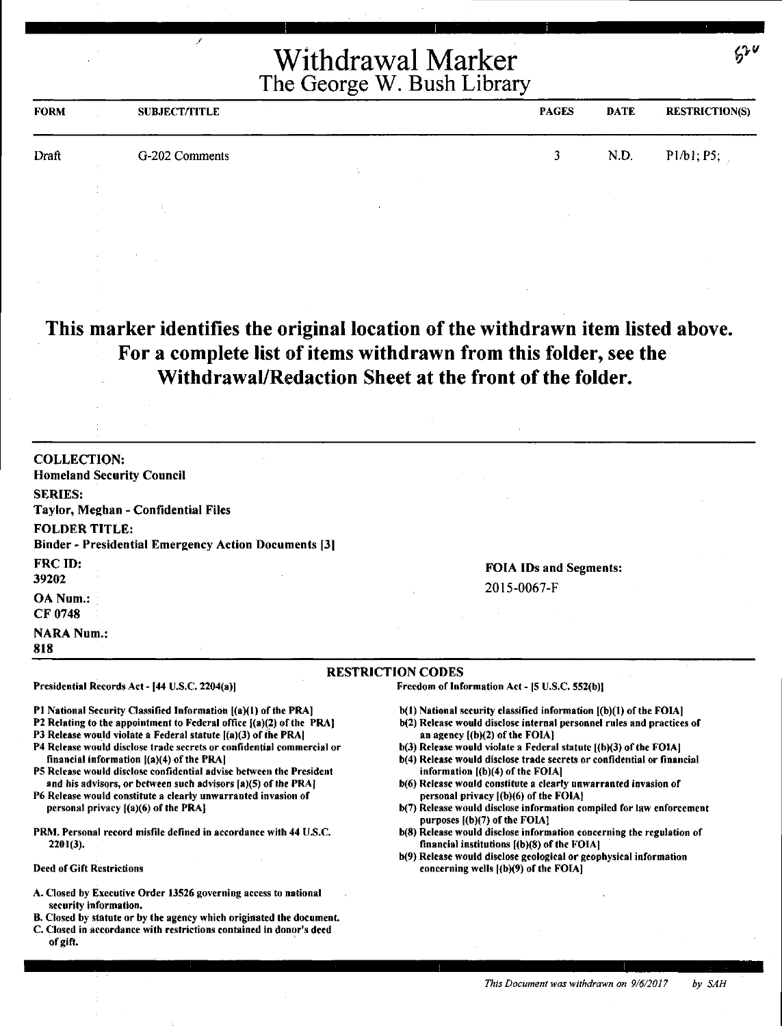| <b>FORM</b> | <b>SUBJECT/TITLE</b> | <b>PAGES</b> | <b>DATE</b> | <b>RESTRICTION(S)</b> |
|-------------|----------------------|--------------|-------------|-----------------------|
| Draft       | G-202 Comments       | 3            | N.D.        | P1/b1; P5;            |
|             |                      |              |             |                       |

**This marker identifies the original location of the withdrawn item listed above. For a complete list** of **items withdrawn from this folder, see the Withdrawal/Redaction Sheet at the front of the folder.** 

| <b>COLLECTION:</b><br><b>Homeland Security Council</b>                                                                                                                                                                                                                                    |                                                                                                                                                                                                                                                      |  |  |
|-------------------------------------------------------------------------------------------------------------------------------------------------------------------------------------------------------------------------------------------------------------------------------------------|------------------------------------------------------------------------------------------------------------------------------------------------------------------------------------------------------------------------------------------------------|--|--|
| <b>SERIES:</b><br>Taylor, Meghan - Confidential Files<br><b>FOLDER TITLE:</b><br><b>Binder - Presidential Emergency Action Documents</b> [3]                                                                                                                                              |                                                                                                                                                                                                                                                      |  |  |
| <b>FRC ID:</b><br>39202<br>OA Num.:<br>CF 0748<br><b>NARA Num.:</b>                                                                                                                                                                                                                       | <b>FOIA IDs and Segments:</b><br>2015-0067-F                                                                                                                                                                                                         |  |  |
| 818                                                                                                                                                                                                                                                                                       |                                                                                                                                                                                                                                                      |  |  |
|                                                                                                                                                                                                                                                                                           | <b>RESTRICTION CODES</b>                                                                                                                                                                                                                             |  |  |
| Presidential Records Act - [44 U.S.C. 2204(a)]                                                                                                                                                                                                                                            | Freedom of Information Act - [5 U.S.C. 552(b)]                                                                                                                                                                                                       |  |  |
| P1 National Security Classified Information [(a)(1) of the PRA]<br><b>P2 Relating to the appointment to Federal office {(a)(2) of the PRA]</b><br>P3 Release would violate a Federal statute ((a)(3) of the PRA]<br>P4 Release would disclose trade secrets or confidential commercial or | b(1) National security classified information [(b)(1) of the FOIA]<br>b(2) Release would disclose internal personnel rules and practices of<br>an agency $[(b)(2)$ of the FOIA]<br>b(3) Release would violate a Federal statute [(b)(3) of the FOIA] |  |  |

financial information  $|(a)(4)$  of the PRA] PS Release would disclose confidential advise between the President and his advisors, or between such advisors (a)(S) of the PRAJ

/

- P6 Release would constitute a clearly unwarranted invasion of personal privacy ((a)(6) of the PRA}
- PRM. Personal record misfile defined in accordance with 44 U.S.C. 2201(3).
- Deed of Gift Restrictions
- A. Closed by Executive Order 13526 governing access to national security information.
- B. Closed by statute or by the agency which originated the document.
- C. Closed in accordance with restrictions contained in donor's deed of gift.
- b(4) Release would disclose trade secrets or confidential or financial information  $[(b)(4)$  of the FOIA]
- b(6) Release would constitute a clearly unwarranted invasion of personal privacy [(b)(6) of the FOIA]
- b(7) Release would disclose information compiled for law enforcement purposes ((b)(7) of the FOIA]
- b(8) Release would disclose information concerning the regulation of financial institutions ((b)(8) of the FOIA)
- b(9) Release would disclose geological or geophysical information concerning wells [(b)(9) of the FOIA]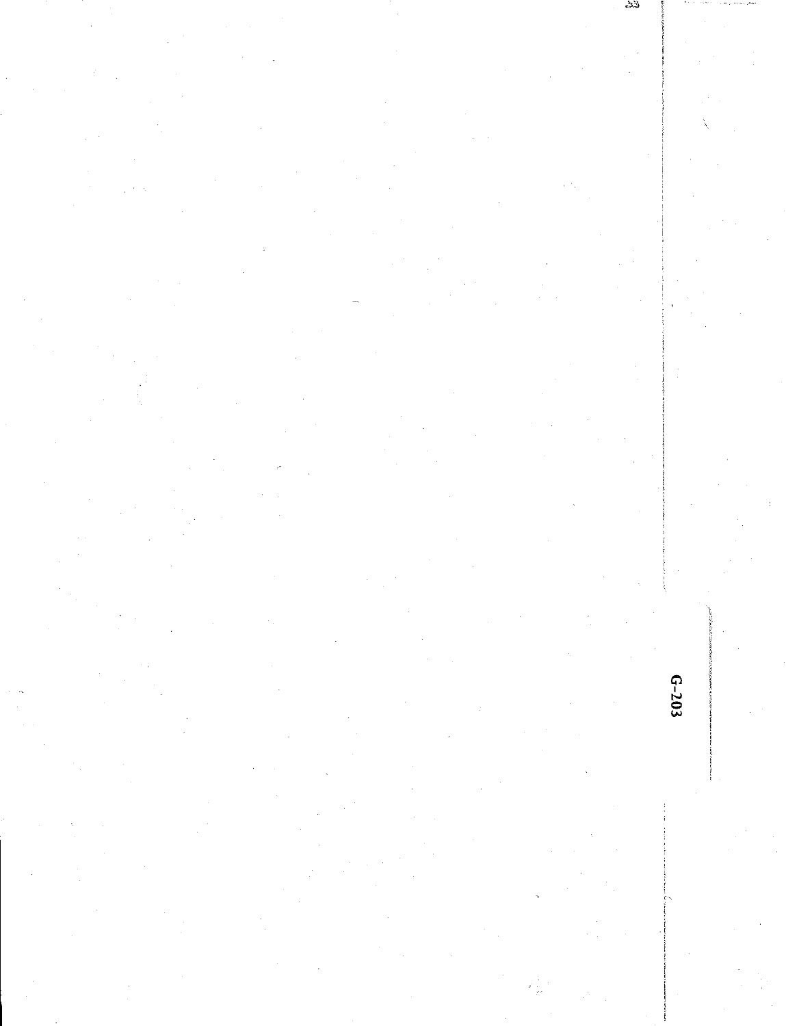$G-203$ 

ک ده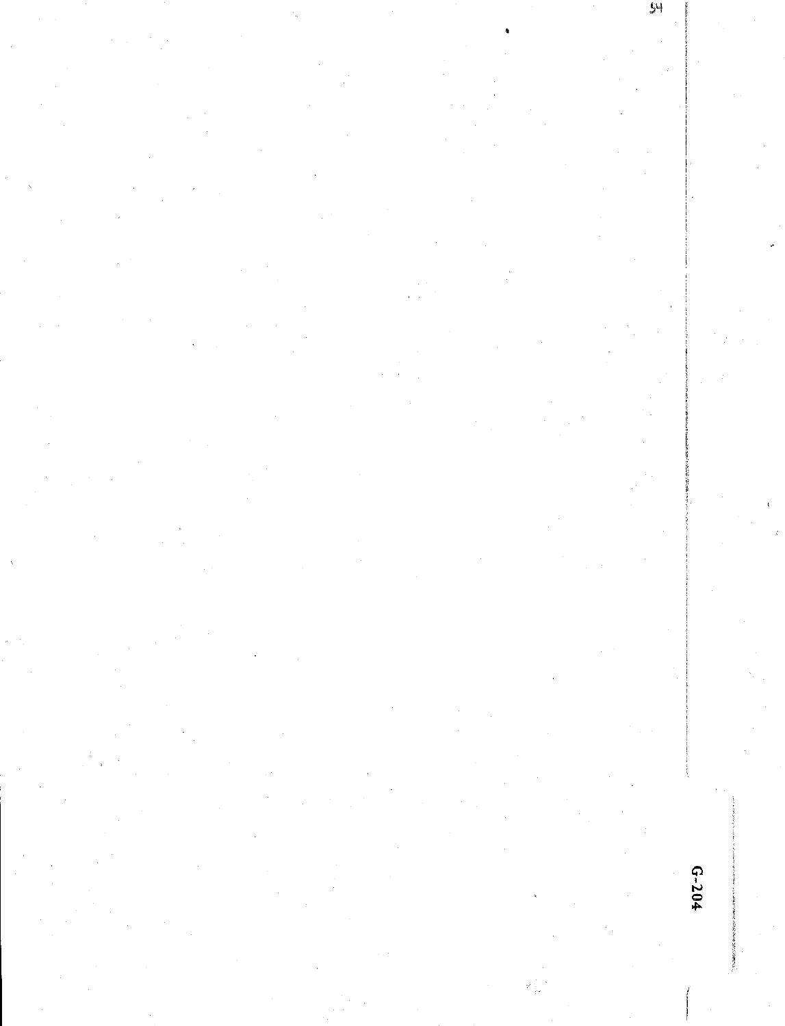$G - 204$ 

 $\Omega_{\rm s}$